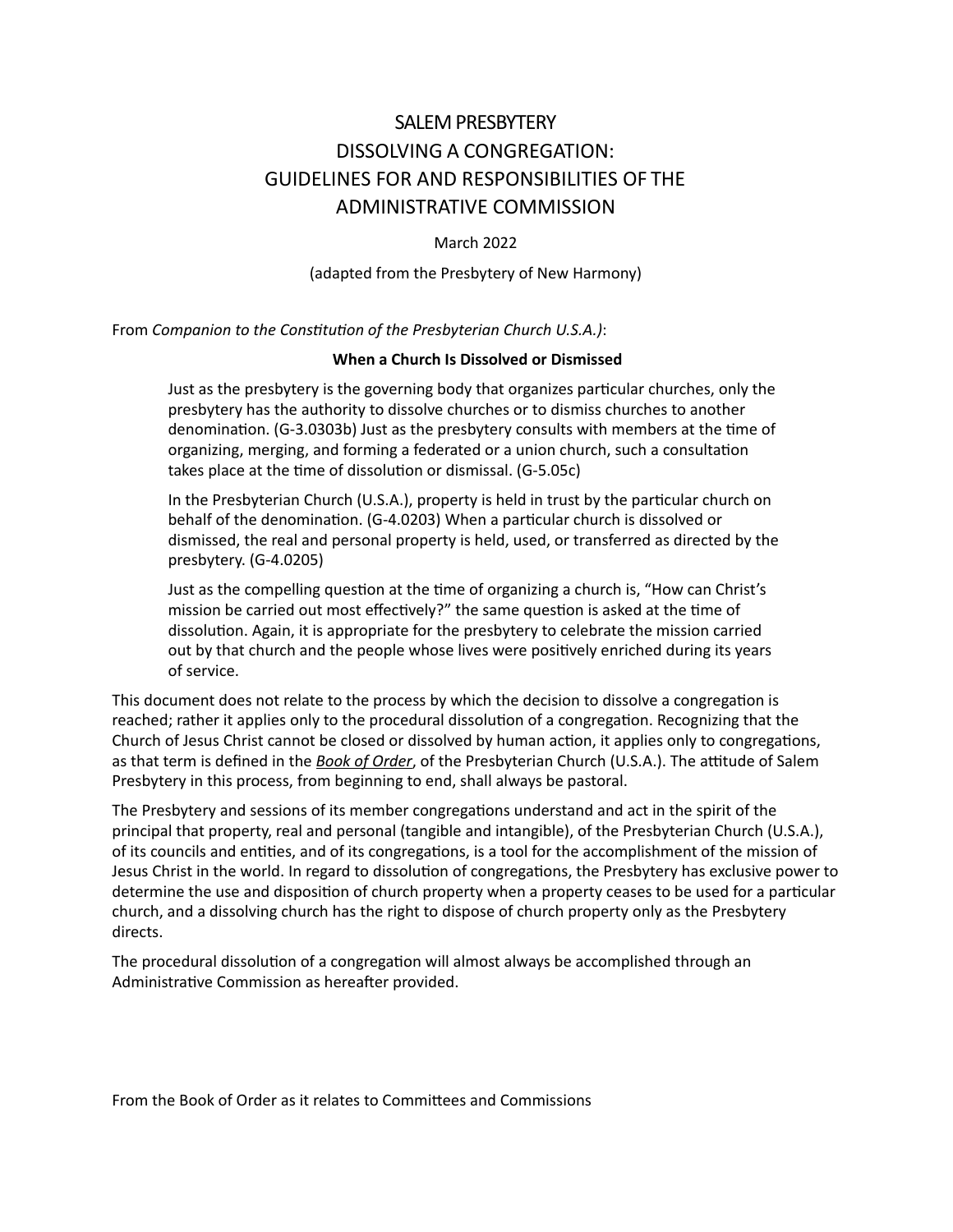# SALEM PRESBYTERY DISSOLVING A CONGREGATION: GUIDELINES FOR AND RESPONSIBILITIES OF THE ADMINISTRATIVE COMMISSION

March 2022

(adapted from the Presbytery of New Harmony)

From *Companion to the Constitution of the Presbyterian Church U.S.A.)*:

#### **When a Church Is Dissolved or Dismissed**

Just as the presbytery is the governing body that organizes particular churches, only the presbytery has the authority to dissolve churches or to dismiss churches to another denomination. (G-3.0303b) Just as the presbytery consults with members at the time of organizing, merging, and forming a federated or a union church, such a consultation takes place at the time of dissolution or dismissal. (G-5.05c)

In the Presbyterian Church (U.S.A.), property is held in trust by the particular church on behalf of the denomination. (G-4.0203) When a particular church is dissolved or dismissed, the real and personal property is held, used, or transferred as directed by the presbytery. (G-4.0205)

Just as the compelling question at the time of organizing a church is, "How can Christ's mission be carried out most effectively?" the same question is asked at the time of dissolution. Again, it is appropriate for the presbytery to celebrate the mission carried out by that church and the people whose lives were positively enriched during its years of service.

This document does not relate to the process by which the decision to dissolve a congregation is reached; rather it applies only to the procedural dissolution of a congregation. Recognizing that the Church of Jesus Christ cannot be closed or dissolved by human action, it applies only to congregations, as that term is defined in the *Book of Order*, of the Presbyterian Church (U.S.A.). The attitude of Salem Presbytery in this process, from beginning to end, shall always be pastoral.

The Presbytery and sessions of its member congregations understand and act in the spirit of the principal that property, real and personal (tangible and intangible), of the Presbyterian Church (U.S.A.), of its councils and entities, and of its congregations, is a tool for the accomplishment of the mission of Jesus Christ in the world. In regard to dissolution of congregations, the Presbytery has exclusive power to determine the use and disposition of church property when a property ceases to be used for a particular church, and a dissolving church has the right to dispose of church property only as the Presbytery directs.

The procedural dissolution of a congregation will almost always be accomplished through an Administrative Commission as hereafter provided.

From the Book of Order as it relates to Committees and Commissions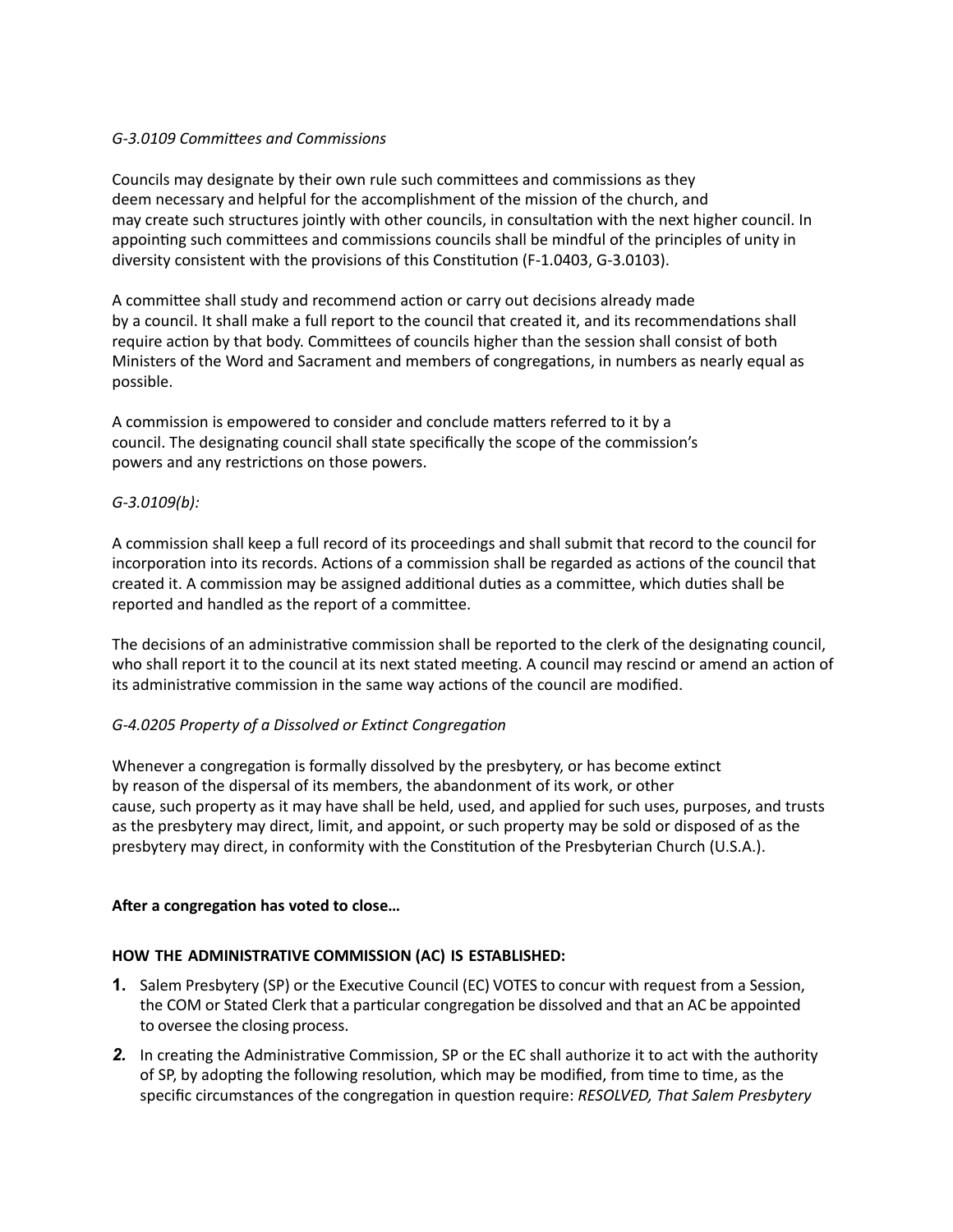# *G-3.0109 Committees and Commissions*

Councils may designate by their own rule such committees and commissions as they deem necessary and helpful for the accomplishment of the mission of the church, and may create such structures jointly with other councils, in consultation with the next higher council. In appointing such committees and commissions councils shall be mindful of the principles of unity in diversity consistent with the provisions of this Constitution (F-1.0403, G-3.0103).

A committee shall study and recommend action or carry out decisions already made by a council. It shall make a full report to the council that created it, and its recommendations shall require action by that body. Committees of councils higher than the session shall consist of both Ministers of the Word and Sacrament and members of congregations, in numbers as nearly equal as possible.

A commission is empowered to consider and conclude matters referred to it by a council. The designating council shall state specifically the scope of the commission's powers and any restrictions on those powers.

# *G-3.0109(b):*

A commission shall keep a full record of its proceedings and shall submit that record to the council for incorporation into its records. Actions of a commission shall be regarded as actions of the council that created it. A commission may be assigned additional duties as a committee, which duties shall be reported and handled as the report of a committee.

The decisions of an administrative commission shall be reported to the clerk of the designating council, who shall report it to the council at its next stated meeting. A council may rescind or amend an action of its administrative commission in the same way actions of the council are modified.

# *G-4.0205 Property of a Dissolved or Extinct Congregation*

Whenever a congregation is formally dissolved by the presbytery, or has become extinct by reason of the dispersal of its members, the abandonment of its work, or other cause, such property as it may have shall be held, used, and applied for such uses, purposes, and trusts as the presbytery may direct, limit, and appoint, or such property may be sold or disposed of as the presbytery may direct, in conformity with the Constitution of the Presbyterian Church (U.S.A.).

# **After a congregation has voted to close…**

# **HOW THE ADMINISTRATIVE COMMISSION (AC) IS ESTABLISHED:**

- **1.** Salem Presbytery (SP) or the Executive Council (EC) VOTES to concur with request from a Session, the COM or Stated Clerk that a particular congregation be dissolved and that an AC be appointed to oversee the closing process.
- *2.* In creating the Administrative Commission, SP or the EC shall authorize it to act with the authority of SP, by adopting the following resolution, which may be modified, from time to time, as the specific circumstances of the congregation in question require: *RESOLVED, That Salem Presbytery*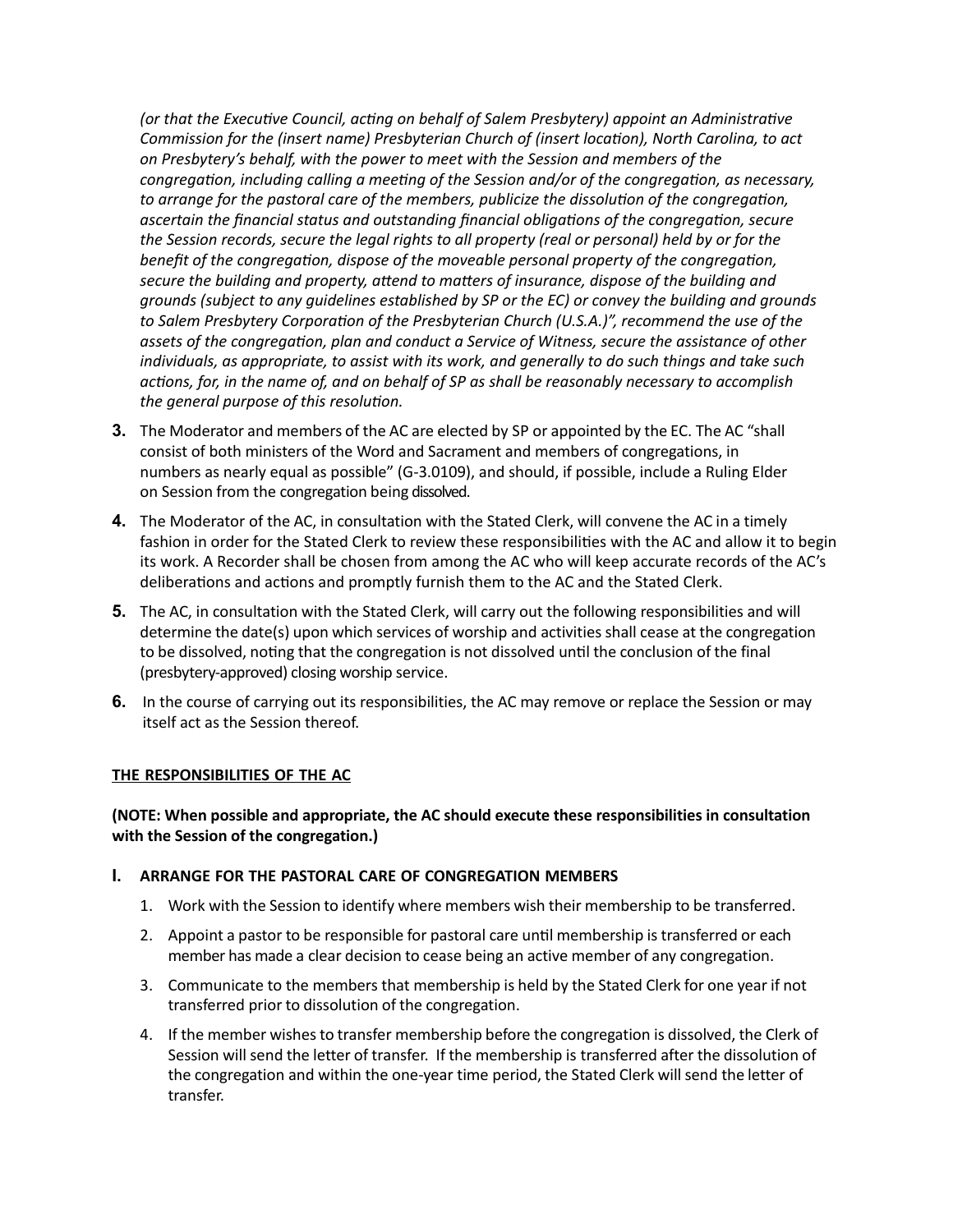*(or that the Executive Council, acting on behalf of Salem Presbytery) appoint an Administrative Commission for the (insert name) Presbyterian Church of (insert location), North Carolina, to act on Presbytery's behalf, with the power to meet with the Session and members of the congregation, including calling a meeting of the Session and/or of the congregation, as necessary, to arrange for the pastoral care of the members, publicize the dissolution of the congregation, ascertain the financial status and outstanding financial obligations of the congregation, secure the Session records, secure the legal rights to all property (real or personal) held by or for the benefit of the congregation, dispose of the moveable personal property of the congregation, secure the building and property, attend to matters of insurance, dispose of the building and grounds (subject to any guidelines established by SP or the EC) or convey the building and grounds to Salem Presbytery Corporation of the Presbyterian Church (U.S.A.)", recommend the use of the assets of the congregation, plan and conduct a Service of Witness, secure the assistance of other individuals, as appropriate, to assist with its work, and generally to do such things and take such actions, for, in the name of, and on behalf of SP as shall be reasonably necessary to accomplish the general purpose of this resolution.*

- **3.** The Moderator and members of the AC are elected by SP or appointed by the EC. The AC "shall consist of both ministers of the Word and Sacrament and members of congregations, in numbers as nearly equal as possible" (G-3.0109), and should, if possible, include a Ruling Elder on Session from the congregation being dissolved.
- **4.** The Moderator of the AC, in consultation with the Stated Clerk, will convene the AC in a timely fashion in order for the Stated Clerk to review these responsibilities with the AC and allow it to begin its work. A Recorder shall be chosen from among the AC who will keep accurate records of the AC's deliberations and actions and promptly furnish them to the AC and the Stated Clerk.
- **5.** The AC, in consultation with the Stated Clerk, will carry out the following responsibilities and will determine the date(s) upon which services of worship and activities shall cease at the congregation to be dissolved, noting that the congregation is not dissolved until the conclusion of the final (presbytery-approved) closing worship service.
- **6.** In the course of carrying out its responsibilities, the AC may remove or replace the Session or may itself act as the Session thereof.

# **THE RESPONSIBILITIES OF THE AC**

# **(NOTE: When possible and appropriate, the AC should execute these responsibilities in consultation with the Session of the congregation.)**

#### **I. ARRANGE FOR THE PASTORAL CARE OF CONGREGATION MEMBERS**

- 1. Work with the Session to identify where members wish their membership to be transferred.
- 2. Appoint a pastor to be responsible for pastoral care until membership istransferred or each member has made a clear decision to cease being an active member of any congregation.
- 3. Communicate to the members that membership is held by the Stated Clerk for one year if not transferred prior to dissolution of the congregation.
- 4. If the member wishes to transfer membership before the congregation is dissolved, the Clerk of Session will send the letter of transfer. If the membership is transferred after the dissolution of the congregation and within the one-year time period, the Stated Clerk will send the letter of transfer.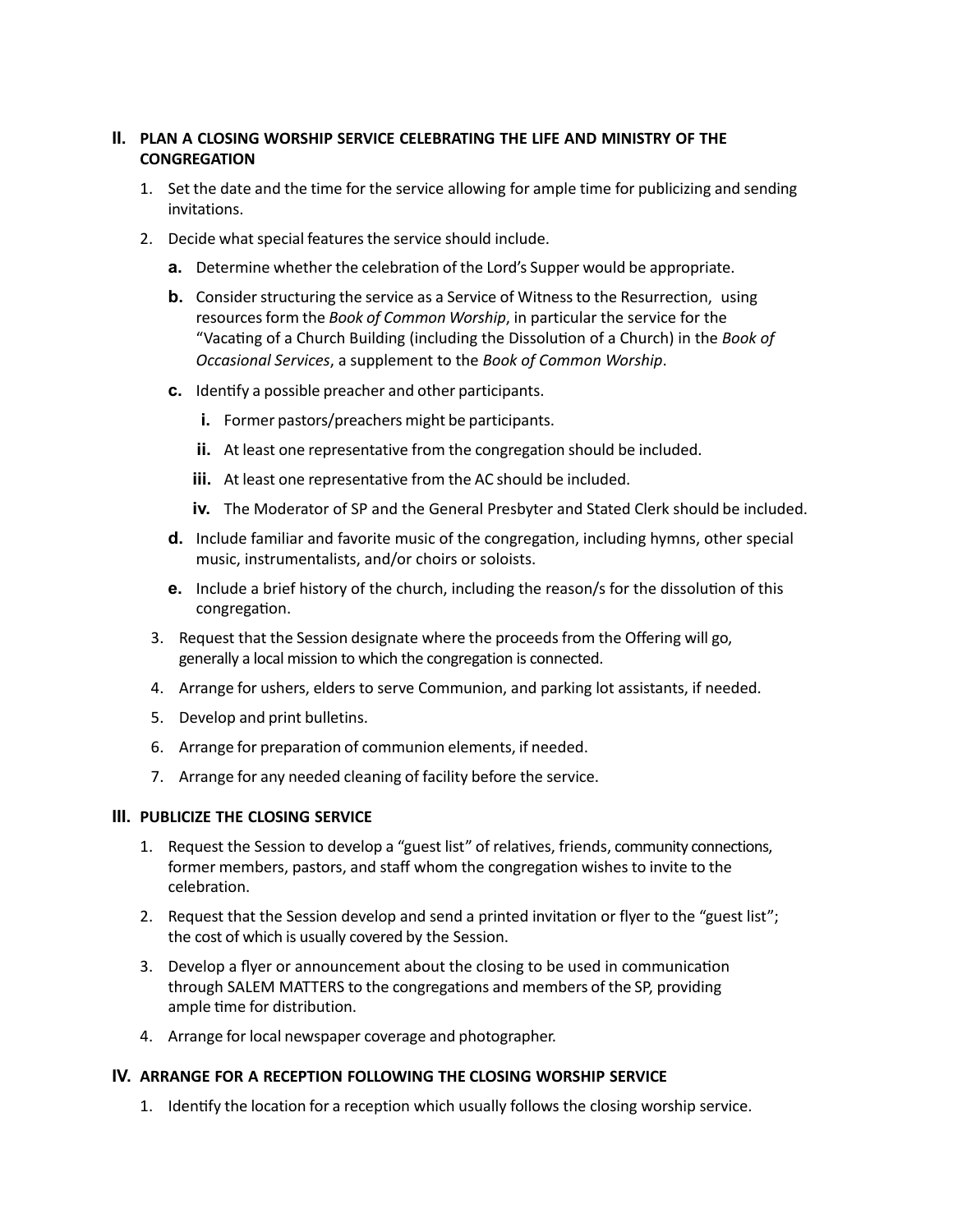# **II. PLAN A CLOSING WORSHIP SERVICE CELEBRATING THE LIFE AND MINISTRY OF THE CONGREGATION**

- 1. Set the date and the time for the service allowing for ample time for publicizing and sending invitations.
- 2. Decide what special features the service should include.
	- **a.** Determine whether the celebration of the Lord's Supper would be appropriate.
	- **b.** Consider structuring the service as a Service of Witness to the Resurrection, using resources form the *Book of Common Worship*, in particular the service for the "Vacating of a Church Building (including the Dissolution of a Church) in the *Book of Occasional Services*, a supplement to the *Book of Common Worship*.
	- **c.** Identify a possible preacher and other participants.
		- **i.** Former pastors/preachers might be participants.
		- **ii.** At least one representative from the congregation should be included.
		- **iii.** At least one representative from the AC should be included.
		- **iv.** The Moderator of SP and the General Presbyter and Stated Clerk should be included.
	- **d.** Include familiar and favorite music of the congregation, including hymns, other special music, instrumentalists, and/or choirs or soloists.
	- **e.** Include a brief history of the church, including the reason/s for the dissolution of this congregation.
- 3. Request that the Session designate where the proceedsfrom the Offering will go, generally a local mission to which the congregation is connected.
- 4. Arrange for ushers, elders to serve Communion, and parking lot assistants, if needed.
- 5. Develop and print bulletins.
- 6. Arrange for preparation of communion elements, if needed.
- 7. Arrange for any needed cleaning of facility before the service.

#### **III. PUBLICIZE THE CLOSING SERVICE**

- 1. Request the Session to develop a "guest list" of relatives, friends, community connections, former members, pastors, and staff whom the congregation wishes to invite to the celebration.
- 2. Request that the Session develop and send a printed invitation or flyer to the "guest list"; the cost of which is usually covered by the Session.
- 3. Develop a flyer or announcement about the closing to be used in communication through SALEM MATTERS to the congregations and members of the SP, providing ample time for distribution.
- 4. Arrange for local newspaper coverage and photographer.

# **IV. ARRANGE FOR A RECEPTION FOLLOWING THE CLOSING WORSHIP SERVICE**

1. Identify the location for a reception which usually follows the closing worship service.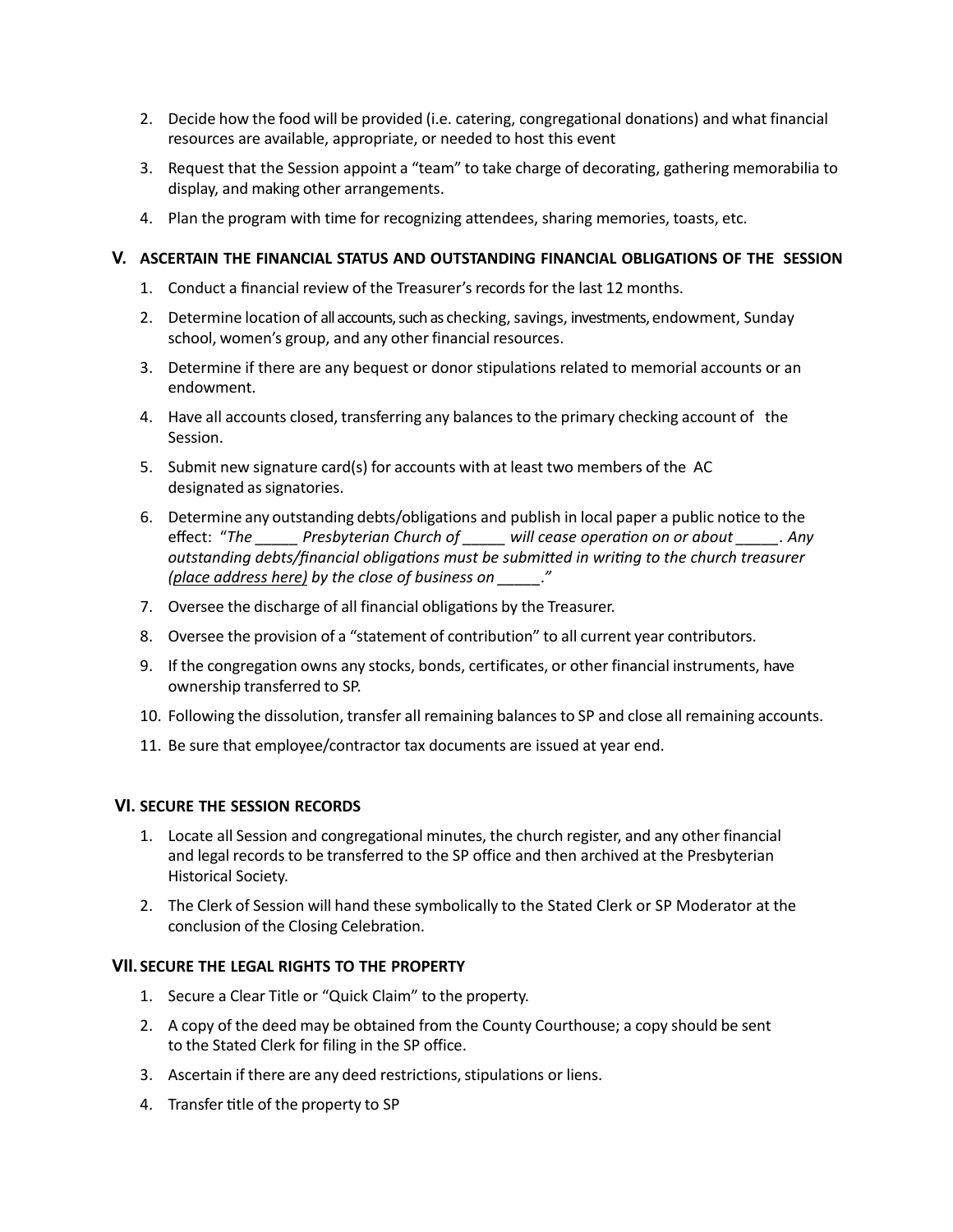- 2. Decide how the food will be provided (i.e. catering, congregational donations) and what financial resources are available, appropriate, or needed to host this event
- 3. Request that the Session appoint a "team" to take charge of decorating, gathering memorabilia to display, and making other arrangements.
- 4. Plan the program with time for recognizing attendees, sharing memories, toasts, etc.

### **V. ASCERTAIN THE FINANCIAL STATUS AND OUTSTANDING FINANCIAL OBLIGATIONS OF THE SESSION**

- 1. Conduct a financial review of the Treasurer's records for the last 12 months.
- 2. Determine location of all accounts, such as checking, savings, investments, endowment, Sunday school, women's group, and any other financial resources.
- 3. Determine if there are any bequest or donor stipulations related to memorial accounts or an endowment.
- 4. Have all accounts closed, transferring any balances to the primary checking account of the Session.
- 5. Submit new signature card(s) for accounts with at least two members of the AC designated as signatories.
- 6. Determine any outstanding debts/obligations and publish in local paper a public notice to the effect: "*The \_\_\_\_\_ Presbyterian Church of \_\_\_\_\_ will cease operation on or about \_\_\_\_\_. Any outstanding debts/financial obligations must be submitted in writing to the church treasurer (place address here) by the close of business on \_\_\_\_\_."*
- 7. Oversee the discharge of all financial obligations by the Treasurer.
- 8. Oversee the provision of a "statement of contribution" to all current year contributors.
- 9. If the congregation owns any stocks, bonds, certificates, or other financial instruments, have ownership transferred to SP.
- 10. Following the dissolution, transfer all remaining balancesto SP and close all remaining accounts.
- 11. Be sure that employee/contractor tax documents are issued at year end.

#### **VI. SECURE THE SESSION RECORDS**

- 1. Locate all Session and congregational minutes, the church register, and any other financial and legal records to be transferred to the SP office and then archived at the Presbyterian Historical Society.
- 2. The Clerk of Session will hand these symbolically to the Stated Clerk or SP Moderator at the conclusion of the Closing Celebration.

#### **VII. SECURE THE LEGAL RIGHTS TO THE PROPERTY**

- 1. Secure a Clear Title or "Quick Claim" to the property.
- 2. A copy of the deed may be obtained from the County Courthouse; a copy should be sent to the Stated Clerk for filing in the SP office.
- 3. Ascertain if there are any deed restrictions, stipulations or liens.
- 4. Transfer title of the property to SP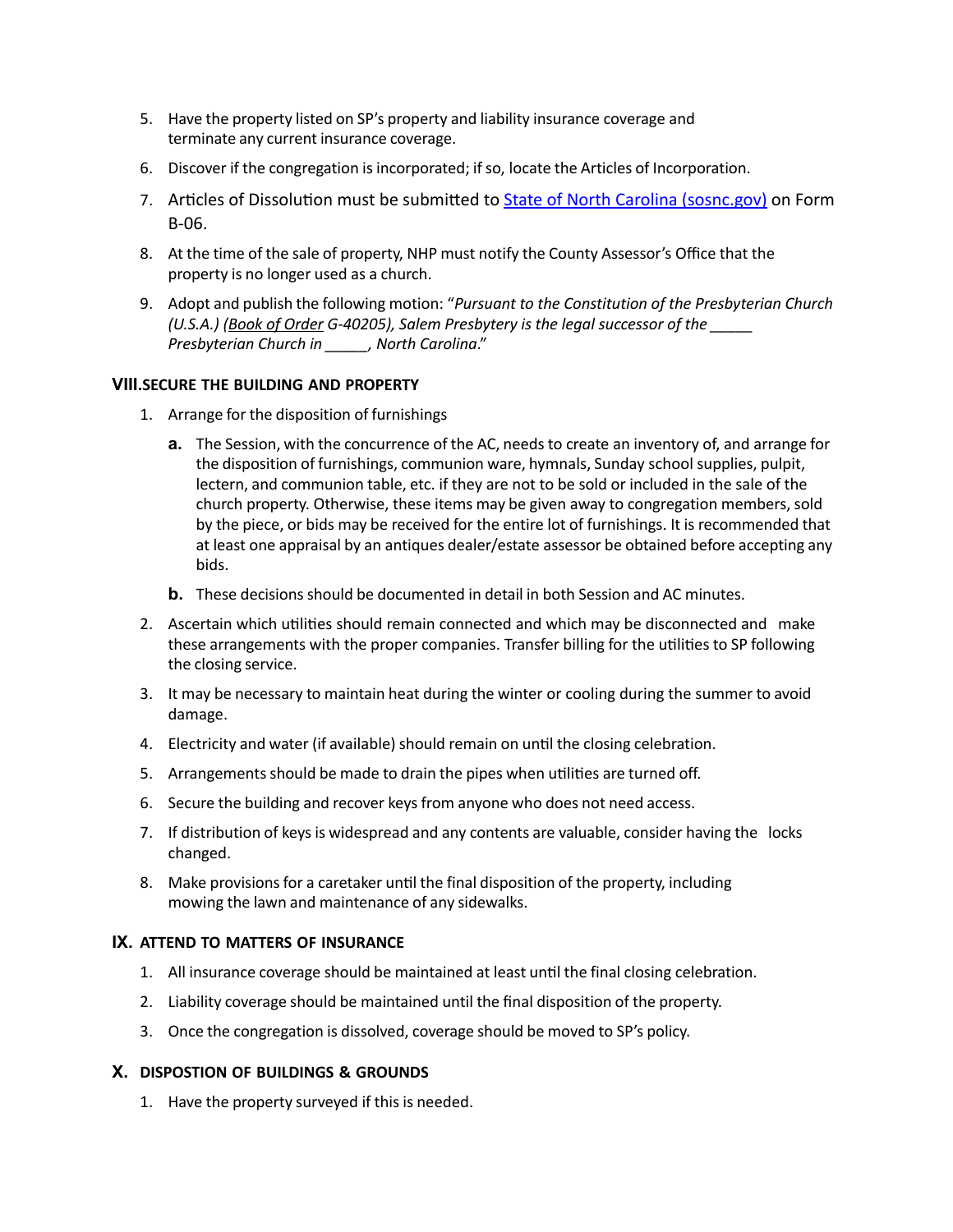- 5. Have the property listed on SP's property and liability insurance coverage and terminate any current insurance coverage.
- 6. Discover if the congregation isincorporated; ifso, locate the Articles of Incorporation.
- 7. Articles of Dissolution must be submitted to [State of North Carolina \(sosnc.gov\)](https://www.sosnc.gov/documents/forms/Business_Registration/business_Corporations/articles_of_dissolution_by_board_of_directors_and_shareholders.pdf) on Form B-06.
- 8. At the time of the sale of property, NHP must notify the County Assessor's Office that the property is no longer used as a church.
- 9. Adopt and publish the following motion: "*Pursuant to the Constitution of the Presbyterian Church (U.S.A.) (Book of Order G-40205), Salem Presbytery is the legal successor of the \_\_\_\_\_ Presbyterian Church in \_\_\_\_\_, North Carolina*."

# **VIII.SECURE THE BUILDING AND PROPERTY**

- 1. Arrange for the disposition of furnishings
	- **a.** The Session, with the concurrence of the AC, needs to create an inventory of, and arrange for the disposition of furnishings, communion ware, hymnals, Sunday school supplies, pulpit, lectern, and communion table, etc. if they are not to be sold or included in the sale of the church property. Otherwise, these items may be given away to congregation members, sold by the piece, or bids may be received for the entire lot of furnishings. It is recommended that at least one appraisal by an antiques dealer/estate assessor be obtained before accepting any bids.
	- **b.** These decisions should be documented in detail in both Session and AC minutes.
- 2. Ascertain which utilities should remain connected and which may be disconnected and make these arrangements with the proper companies. Transfer billing for the utilitiesto SP following the closing service.
- 3. It may be necessary to maintain heat during the winter or cooling during the summer to avoid damage.
- 4. Electricity and water (if available) should remain on until the closing celebration.
- 5. Arrangementsshould be made to drain the pipes when utilities are turned off.
- 6. Secure the building and recover keys from anyone who does not need access.
- 7. If distribution of keysis widespread and any contents are valuable, consider having the locks changed.
- 8. Make provisions for a caretaker until the final disposition of the property, including mowing the lawn and maintenance of any sidewalks.

# **IX. ATTEND TO MATTERS OF INSURANCE**

- 1. All insurance coverage should be maintained at least until the final closing celebration.
- 2. Liability coverage should be maintained until the final disposition of the property.
- 3. Once the congregation is dissolved, coverage should be moved to SP's policy.

# **X. DISPOSTION OF BUILDINGS & GROUNDS**

1. Have the property surveyed if this is needed.